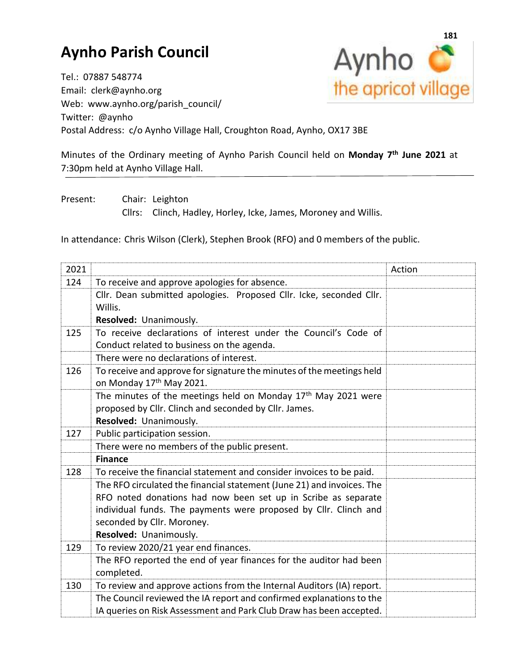## **Aynho Parish Council**



Tel.: 07887 548774 Email: clerk@aynho.org Web: www.aynho.org/parish\_council/ Twitter: @aynho Postal Address: c/o Aynho Village Hall, Croughton Road, Aynho, OX17 3BE

Minutes of the Ordinary meeting of Aynho Parish Council held on **Monday 7 th June 2021** at 7:30pm held at Aynho Village Hall.

Present: Chair: Leighton

Cllrs: Clinch, Hadley, Horley, Icke, James, Moroney and Willis.

In attendance: Chris Wilson (Clerk), Stephen Brook (RFO) and 0 members of the public.

| 2021 |                                                                           | Action |
|------|---------------------------------------------------------------------------|--------|
| 124  | To receive and approve apologies for absence.                             |        |
|      | Cllr. Dean submitted apologies. Proposed Cllr. Icke, seconded Cllr.       |        |
|      | Willis.                                                                   |        |
|      | Resolved: Unanimously.                                                    |        |
| 125  | To receive declarations of interest under the Council's Code of           |        |
|      | Conduct related to business on the agenda.                                |        |
|      | There were no declarations of interest.                                   |        |
| 126  | To receive and approve for signature the minutes of the meetings held     |        |
|      | on Monday 17th May 2021.                                                  |        |
|      | The minutes of the meetings held on Monday 17 <sup>th</sup> May 2021 were |        |
|      | proposed by Cllr. Clinch and seconded by Cllr. James.                     |        |
|      | Resolved: Unanimously.                                                    |        |
| 127  | Public participation session.                                             |        |
|      | There were no members of the public present.                              |        |
|      | <b>Finance</b>                                                            |        |
| 128  | To receive the financial statement and consider invoices to be paid.      |        |
|      | The RFO circulated the financial statement (June 21) and invoices. The    |        |
|      | RFO noted donations had now been set up in Scribe as separate             |        |
|      | individual funds. The payments were proposed by Cllr. Clinch and          |        |
|      | seconded by Cllr. Moroney.                                                |        |
|      | Resolved: Unanimously.                                                    |        |
| 129  | To review 2020/21 year end finances.                                      |        |
|      | The RFO reported the end of year finances for the auditor had been        |        |
|      | completed.                                                                |        |
| 130  | To review and approve actions from the Internal Auditors (IA) report.     |        |
|      | The Council reviewed the IA report and confirmed explanations to the      |        |
|      | IA queries on Risk Assessment and Park Club Draw has been accepted.       |        |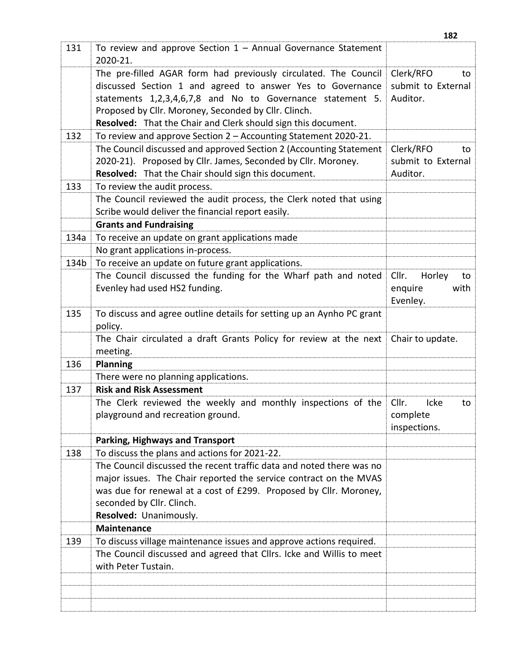|      |                                                                       | 182                   |
|------|-----------------------------------------------------------------------|-----------------------|
| 131  | To review and approve Section $1 -$ Annual Governance Statement       |                       |
|      | 2020-21.                                                              |                       |
|      | The pre-filled AGAR form had previously circulated. The Council       | Clerk/RFO<br>to       |
|      | discussed Section 1 and agreed to answer Yes to Governance            | submit to External    |
|      | statements 1,2,3,4,6,7,8 and No to Governance statement 5.            | Auditor.              |
|      | Proposed by Cllr. Moroney, Seconded by Cllr. Clinch.                  |                       |
|      | Resolved: That the Chair and Clerk should sign this document.         |                       |
| 132  | To review and approve Section 2 - Accounting Statement 2020-21.       |                       |
|      | The Council discussed and approved Section 2 (Accounting Statement    | Clerk/RFO<br>to       |
|      | 2020-21). Proposed by Cllr. James, Seconded by Cllr. Moroney.         | submit to External    |
|      | Resolved: That the Chair should sign this document.                   | Auditor.              |
| 133  | To review the audit process.                                          |                       |
|      | The Council reviewed the audit process, the Clerk noted that using    |                       |
|      | Scribe would deliver the financial report easily.                     |                       |
|      | <b>Grants and Fundraising</b>                                         |                       |
| 134a | To receive an update on grant applications made                       |                       |
|      | No grant applications in-process.                                     |                       |
| 134b | To receive an update on future grant applications.                    |                       |
|      | The Council discussed the funding for the Wharf path and noted        | Cllr.<br>Horley<br>to |
|      | Evenley had used HS2 funding.                                         | enquire<br>with       |
|      |                                                                       | Evenley.              |
| 135  | To discuss and agree outline details for setting up an Aynho PC grant |                       |
|      | policy.                                                               |                       |
|      | The Chair circulated a draft Grants Policy for review at the next     | Chair to update.      |
|      | meeting.                                                              |                       |
| 136  | <b>Planning</b>                                                       |                       |
|      | There were no planning applications.                                  |                       |
| 137  | <b>Risk and Risk Assessment</b>                                       |                       |
|      | The Clerk reviewed the weekly and monthly inspections of the          | Cllr.<br>Icke<br>to   |
|      | playground and recreation ground.                                     | complete              |
|      |                                                                       | inspections.          |
|      | <b>Parking, Highways and Transport</b>                                |                       |
| 138  | To discuss the plans and actions for 2021-22.                         |                       |
|      | The Council discussed the recent traffic data and noted there was no  |                       |
|      | major issues. The Chair reported the service contract on the MVAS     |                       |
|      | was due for renewal at a cost of £299. Proposed by Cllr. Moroney,     |                       |
|      | seconded by Cllr. Clinch.                                             |                       |
|      | Resolved: Unanimously.                                                |                       |
|      | <b>Maintenance</b>                                                    |                       |
| 139  | To discuss village maintenance issues and approve actions required.   |                       |
|      | The Council discussed and agreed that Cllrs. Icke and Willis to meet  |                       |
|      | with Peter Tustain.                                                   |                       |
|      |                                                                       |                       |
|      |                                                                       |                       |
|      |                                                                       |                       |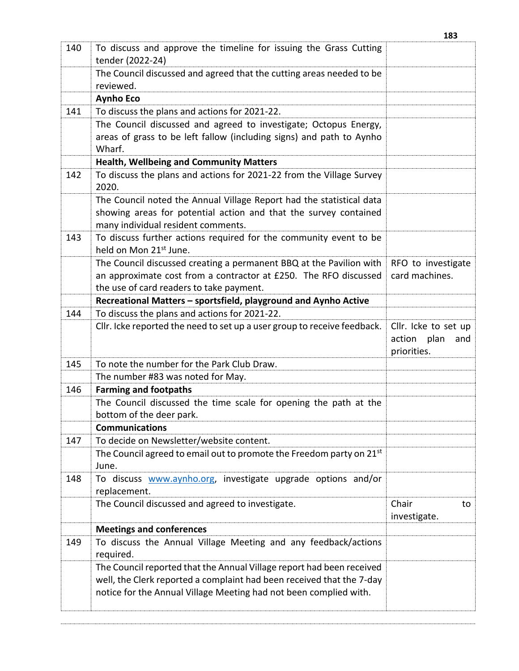|     |                                                                                                         | 183                                                    |
|-----|---------------------------------------------------------------------------------------------------------|--------------------------------------------------------|
| 140 | To discuss and approve the timeline for issuing the Grass Cutting<br>tender (2022-24)                   |                                                        |
|     | The Council discussed and agreed that the cutting areas needed to be<br>reviewed.                       |                                                        |
|     | <b>Aynho Eco</b>                                                                                        |                                                        |
| 141 | To discuss the plans and actions for 2021-22.                                                           |                                                        |
|     | The Council discussed and agreed to investigate; Octopus Energy,                                        |                                                        |
|     | areas of grass to be left fallow (including signs) and path to Aynho<br>Wharf.                          |                                                        |
|     | <b>Health, Wellbeing and Community Matters</b>                                                          |                                                        |
| 142 | To discuss the plans and actions for 2021-22 from the Village Survey<br>2020.                           |                                                        |
|     | The Council noted the Annual Village Report had the statistical data                                    |                                                        |
|     | showing areas for potential action and that the survey contained                                        |                                                        |
|     | many individual resident comments.                                                                      |                                                        |
| 143 | To discuss further actions required for the community event to be<br>held on Mon 21 <sup>st</sup> June. |                                                        |
|     | The Council discussed creating a permanent BBQ at the Pavilion with                                     | RFO to investigate                                     |
|     | an approximate cost from a contractor at £250. The RFO discussed                                        | card machines.                                         |
|     | the use of card readers to take payment.                                                                |                                                        |
|     | Recreational Matters - sportsfield, playground and Aynho Active                                         |                                                        |
| 144 | To discuss the plans and actions for 2021-22.                                                           |                                                        |
|     | Cllr. Icke reported the need to set up a user group to receive feedback.                                | Cllr. Icke to set up<br>action plan and<br>priorities. |
| 145 | To note the number for the Park Club Draw.                                                              |                                                        |
|     | The number #83 was noted for May.                                                                       |                                                        |
| 146 | <b>Farming and footpaths</b>                                                                            |                                                        |
|     | The Council discussed the time scale for opening the path at the<br>bottom of the deer park.            |                                                        |
|     | <b>Communications</b>                                                                                   |                                                        |
| 147 | To decide on Newsletter/website content.                                                                |                                                        |
|     | The Council agreed to email out to promote the Freedom party on 21 <sup>st</sup>                        |                                                        |
|     | June.                                                                                                   |                                                        |
| 148 | To discuss <b>www.aynho.org</b> , investigate upgrade options and/or                                    |                                                        |
|     | replacement.                                                                                            |                                                        |
|     | The Council discussed and agreed to investigate.                                                        | Chair<br>to<br>investigate.                            |
|     | <b>Meetings and conferences</b>                                                                         |                                                        |
| 149 | To discuss the Annual Village Meeting and any feedback/actions<br>required.                             |                                                        |
|     | The Council reported that the Annual Village report had been received                                   |                                                        |
|     | well, the Clerk reported a complaint had been received that the 7-day                                   |                                                        |
|     | notice for the Annual Village Meeting had not been complied with.                                       |                                                        |
|     |                                                                                                         |                                                        |